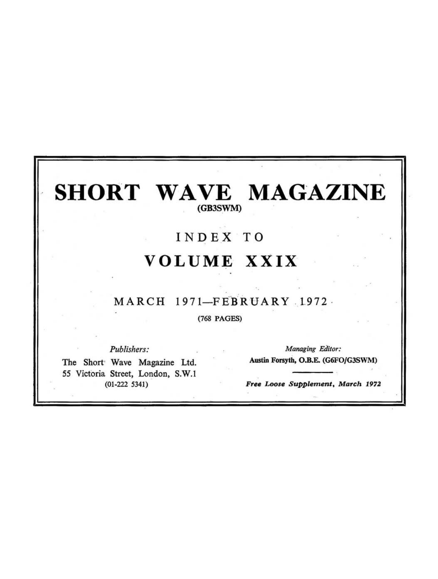### **SHORT WAVE MAGAZINE** (GB3SWM)

## INDEX TO **VOLUME XXIX**

### $MARCH$  1971-FEBRUARY 1972

#### (768 PAGES)

*Publishers:* 

The Short' Wave Magazine Ltd. 55 Victoria Street, London, S.W.l (01-222 5341)

*Managing Editor:*  Austin Forsyth, O.B.E. (G6FO/G3SWM)

Free Loose Supplement, March 1972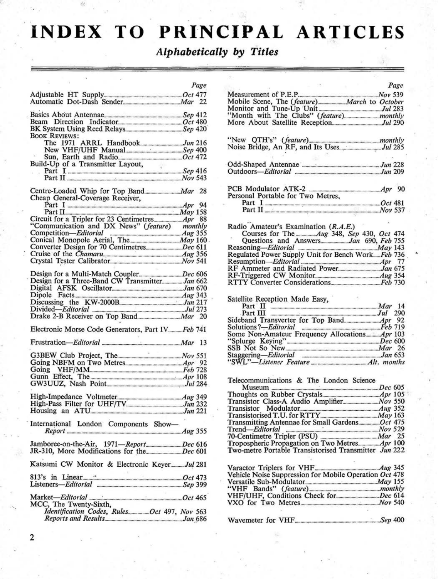## **INDEX TO PRINCIPAL ARTICLES**

*Alphabetically by Titles* 

|                                                                    | Page |                                                                                                   | Page |
|--------------------------------------------------------------------|------|---------------------------------------------------------------------------------------------------|------|
|                                                                    |      |                                                                                                   |      |
| Automatic Dot-Dash Sender Mar 22                                   |      |                                                                                                   |      |
|                                                                    |      | Mobile Scene, The (feature) March to October<br>Monitor and Tune-Up Unit Monitor and Tune-Up Unit |      |
|                                                                    |      |                                                                                                   |      |
|                                                                    |      |                                                                                                   |      |
|                                                                    |      |                                                                                                   |      |
| <b>BOOK REVIEWS:</b>                                               |      |                                                                                                   |      |
|                                                                    |      |                                                                                                   |      |
|                                                                    |      |                                                                                                   |      |
|                                                                    |      |                                                                                                   |      |
| Build-Up of a Transmitter Layout,                                  |      |                                                                                                   |      |
| -1990                                                              |      |                                                                                                   |      |
|                                                                    |      |                                                                                                   |      |
|                                                                    |      |                                                                                                   |      |
|                                                                    |      |                                                                                                   |      |
| Cheap General-Coverage Receiver,                                   |      | Personal Portable for Two Metres.                                                                 |      |
| Part I $\frac{1}{2}$ Part I $\frac{1}{2}$                          |      |                                                                                                   |      |
|                                                                    |      |                                                                                                   |      |
|                                                                    |      |                                                                                                   |      |
| "Communication and DX News" (feature) monthly                      |      |                                                                                                   |      |
|                                                                    |      | Radio Amateur's Examination (R.A.E.)                                                              |      |
| Competition—Editorial 1955<br>Conical Monopole Aerial, The May 160 |      |                                                                                                   |      |
|                                                                    |      |                                                                                                   |      |
|                                                                    |      | Reasoning-Editorial <b>Example 20</b> May 143                                                     |      |
|                                                                    |      | Regulated Power Supply Unit for Bench Work Feb 736                                                |      |
|                                                                    |      | Resumption-Editorial [17] Apr 77                                                                  |      |
|                                                                    |      |                                                                                                   |      |
| Design for a Three-Band CW Transmitter Jan 662                     |      |                                                                                                   |      |
|                                                                    |      |                                                                                                   |      |
|                                                                    |      |                                                                                                   |      |
|                                                                    |      | Satellite Reception Made Easy,                                                                    |      |
|                                                                    |      | Part II <b>Mart</b> 14                                                                            |      |
|                                                                    |      | Part III <b>manufacture 1290</b>                                                                  |      |
|                                                                    |      |                                                                                                   |      |
|                                                                    |      |                                                                                                   |      |
| Electronic Morse Code Generators, Part IV Feb 741                  |      | Some Non-Amateur Frequency Allocations Apr 103                                                    |      |
|                                                                    |      |                                                                                                   |      |
|                                                                    |      |                                                                                                   |      |
| G3BEW Club Project, The Nov 551                                    |      |                                                                                                   |      |
| Going NBFM on Two Metres 4pr 92                                    |      |                                                                                                   |      |
|                                                                    |      |                                                                                                   |      |
|                                                                    |      |                                                                                                   |      |
|                                                                    |      | Telecommunications & The London Science                                                           |      |
|                                                                    |      |                                                                                                   |      |
|                                                                    |      |                                                                                                   |      |
|                                                                    |      |                                                                                                   |      |
|                                                                    |      |                                                                                                   |      |
|                                                                    |      |                                                                                                   |      |
| International London Components Show-                              |      | Transmitting Antennae for Small Gardens Oct 475                                                   |      |
|                                                                    |      | Trend-Editorial <b>Example 20</b> Nov 529                                                         |      |
|                                                                    |      |                                                                                                   |      |
|                                                                    |      |                                                                                                   |      |
| JR-310, More Modifications for the <i>Dec</i> 601                  |      | Two-metre Portable Transistorised Transmitter Jun 222                                             |      |
|                                                                    |      |                                                                                                   |      |
| Katsumi CW Monitor & Electronic KeyerJul 281                       |      |                                                                                                   |      |
|                                                                    |      |                                                                                                   |      |
|                                                                    |      | Vehicle Noise Suppression for Mobile Operation Oct 478                                            |      |
| Listeners-Editorial <b>Example 2018</b> Sep 399                    |      |                                                                                                   |      |
|                                                                    |      |                                                                                                   |      |
|                                                                    |      | VHF/UHF, Conditions Check for Dec 614                                                             |      |
| MCC, The Twenty-Sixth,                                             |      |                                                                                                   |      |
| Identification Codes, Rules Oct 497, Nov 563                       |      |                                                                                                   |      |
| Reports and Results Jan 686                                        |      | $\mathcal{S}_{en}$ 400<br>Wavemeter for VHF                                                       |      |
|                                                                    |      |                                                                                                   |      |

|                                                         | Page | Page                                              |
|---------------------------------------------------------|------|---------------------------------------------------|
|                                                         |      |                                                   |
|                                                         |      | Measurement of P.E.P.                             |
|                                                         |      |                                                   |
|                                                         |      |                                                   |
|                                                         |      |                                                   |
|                                                         |      |                                                   |
|                                                         |      |                                                   |
| <b>BOOK REVIEWS:</b>                                    |      |                                                   |
|                                                         |      |                                                   |
|                                                         |      |                                                   |
|                                                         |      |                                                   |
| Build-Up of a Transmitter Layout,                       |      |                                                   |
|                                                         |      | Outdoors-Editorial <b>Example 209</b> Jun 209     |
|                                                         |      |                                                   |
|                                                         |      |                                                   |
| Cheap General-Coverage Receiver,                        |      | Personal Portable for Two Metres.                 |
| Part I $\frac{1}{2}$ Part I $\frac{1}{2}$               |      |                                                   |
|                                                         |      |                                                   |
|                                                         |      |                                                   |
|                                                         |      |                                                   |
| "Communication and DX News" (feature) monthly           |      | Radio Amateur's Examination (R.A.E.)              |
| Competition-Editorial manufacturers Aug 355             |      |                                                   |
| Conical Monopole Aerial, The May 160                    |      |                                                   |
|                                                         |      | Reasoning-Editorial <b>Manual</b> May 143         |
|                                                         |      | Regulated Power Supply Unit for Bench WorkFeb 736 |
|                                                         |      |                                                   |
|                                                         |      |                                                   |
|                                                         |      |                                                   |
| Design for a Three-Band CW Transmitter Jan 662          |      |                                                   |
|                                                         |      |                                                   |
|                                                         |      | Satellite Reception Made Easy,                    |
|                                                         |      | Part II $\frac{1}{2}$ Mar 14                      |
| Divided-Editorial Communications Jul 273                |      |                                                   |
|                                                         |      |                                                   |
|                                                         |      |                                                   |
| Electronic Morse Code Generators, Part IV Feb 741       |      |                                                   |
|                                                         |      |                                                   |
|                                                         |      |                                                   |
| $\mathcal{C}_{\mathbf{m}}$ .                            |      |                                                   |
| G3BEW Club Project, The _______________________ Nov 551 |      |                                                   |
|                                                         |      |                                                   |
|                                                         |      |                                                   |
|                                                         |      | Telecommunications & The London Science           |
| GW3UUZ, Nash Point                                      |      |                                                   |
|                                                         |      |                                                   |
|                                                         |      |                                                   |
|                                                         |      |                                                   |
|                                                         |      |                                                   |
|                                                         |      |                                                   |
| International London Components Show-                   |      |                                                   |
| $Report$ $Aug 355$                                      |      |                                                   |
| Jamboree-on-the-Air, 1971—ReportDec 616                 |      |                                                   |
|                                                         |      |                                                   |

| Vehicle Noise Suppression for Mobile Operation Oct 478 |                    |
|--------------------------------------------------------|--------------------|
|                                                        | $_{\dots}$ May 155 |
| "VHF Bands" (feature)                                  | monthly            |
| VHF/UHF, Conditions Check for                          | Dec 614            |
| VXO for Two Metres                                     | Nov <sub>540</sub> |
|                                                        |                    |

*Reports and Results ................................................................ ..Jan \_686* Wavemeter for *VHF ........................................................................ Sep 400*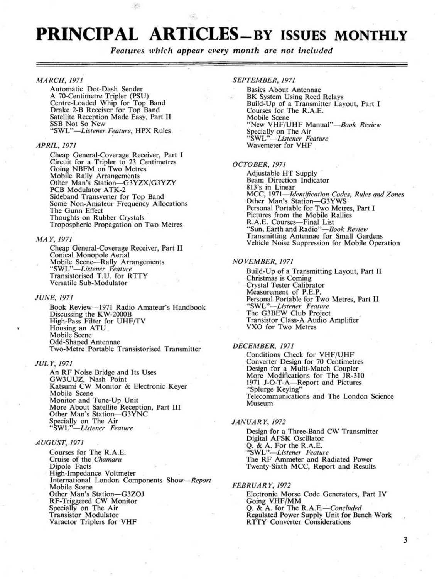### **PRINCIPAL ARTICLES-BY ISSUES MONTHLY**

#### Features which appear every month are not included

#### *MARCH,1971*

Automatic Dot-Dash Sender A 70-Centimetre TripIer (PSU) Centre-Loaded Whip for Top Band Drake 2-B Receiver for Top Band Satellite Reception Made Easy, Part II<br>SSB Not So New "SWL"-Listener Feature, HPX Rules

#### *APRIL,1971*

Cheap General-Coverage Receiver, Part I Circuit for a Tripier to 23 Centimetres Going NBFM on Two Metres Mobile Rally Arrangements Other Man's Station-G3YZX/G3YZY PCB Modulator ATK-2 Sideband Transverter for Top Band Some Non-Amateur Frequency Allocations The Gunn Effect Thoughts on Rubber Crystals Tropospheric Propagation on Two Metres

#### *MAY,* 1971

Cheap General-Coverage Receiver, Part II Conical Monopole Aerial<br>Mobile Scene—Rally Arrangements<br>"SWL"—*Listener Feature*<br>Transistorised T.U. for RTTY Versatile Sub-Modulator

#### *JUNE,1971*

Book Review-1971 Radio Amateur's Handbook Discussing the KW-2000B High-Pass Filter for UHF/TV Housing an ATU Mobile Scene Odd-Shaped Antennae Two-Metre Portable Transistorised Transmitter

#### *JULY,* 1971

An RF Noise Bridge and Its Uses GW3UUZ, Nash Point Katsumi CW Monitor & Electronic Keyer Mobile Scene Monitor and Tune-Up Unit More About Satellite Reception, Part III Other Man's Station-G3YNC Specially on The Air *"SWL"-Listener Feature* 

#### *AUGUST,1971*

Courses for The R.A.E. Cruise of the *Chamaru*  Dipole Facts High-Impedance Voltmeter International London Components *Show-Report*  Mobile Scene Other Man's Station-G3Z0J RF-Triggered CW Monitor Specially on The Air Transistor Modulator Varactor Triplers for VHF

#### *SEPTEMBER, 1971*

Basics About Antennae BK System Using Reed Relays Build-Up of a Transmitter Layout, Part I Courses for The R.A.E. Mobile Scene<br>"New VHF/UHF Manual"—*Book Review*<br>Specially on The Air *"SWL"-Listener Feature*  Wavemeter for VHF

#### *OCTOBER,1971*

Adjustable HT Supply Beam Direction Indicator 813's in Linear MCC, 1971*—Identification Codes, Rules and Zones*<br>Other Man's Station—G3YWS Personal Portable for Two Metres, Part I Pictures from the Mobile Rallies R.A.E. Courses-Final List "Sun, Earth and *Radio"-Book Review*  Transmitting Antennae for Small Gardens Vehicle Noise Suppression for Mobile Operation

#### *NO VEMBER, 1971*

Build-Up of a Transmitting Layout, Part II Crystal Tester Calibrator<br>Measurement of P.E.P. Measurement of P.E.P.<br>Personal Portable for Two Metres, Part II<br>"SWL"-*-Listener Feature*<br>The G3BEW Club Project Transistor Class-A Audio Amplifier VXO for Two Metres

#### **DECEMBER, 1971**

Conditions Check for VHF/UHF Converter Design for 70 Centimetres Design for a Multi-Match Coupler More Modifications for The JR-310 1971 J-O-T-A-Report and Pictures "Splurge Keying" Telecommunications and The London Science Museum

#### *JANUARY,* 1972

Design for a Three-Band CW Transmitter Digital AFSK Oscillator Q. & A. For the R.A.E. *"SWL"-Listener Feature*  The RF Ammeter and Radiated Power Twenty-Sixth MCC, Report and Results

#### *FEBRUARY,* 1972 Electronic Morse Code Generators, Part IV

Going VHF/MM<br>Q. & A. for The R.A.E.—Concluded Regulated Power Supply Unit for Bench Work R TTY Converter Considerations

3